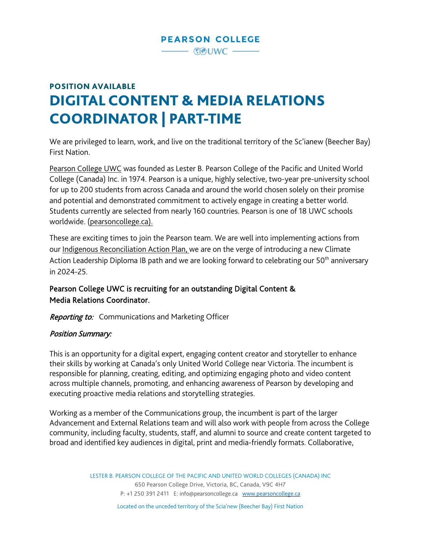# **PEARSON COLLEGE EXALLECT CONTINUE**

# POSITION AVAILABLE DIGITAL CONTENT & MEDIA RELATIONS COORDINATOR | PART-TIME

We are privileged to learn, work, and live on the traditional territory of the Sc'ianew (Beecher Bay) First Nation.

[Pearson College UWC](https://www.pearsoncollege.ca/) was founded as Lester B. Pearson College of the Pacific and United World College (Canada) Inc. in 1974. Pearson is a unique, highly selective, two-year pre-university school for up to 200 students from across Canada and around the world chosen solely on their promise and potential and demonstrated commitment to actively engage in creating a better world. Students currently are selected from nearly 160 countries. Pearson is one of 18 UWC schools worldwide. [\(pearsoncollege.ca\)](http://www.pearsoncollege.ca/).

These are exciting times to join the Pearson team. We are well into implementing actions from our [Indigenous Reconciliation Action Plan,](https://www.pearsoncollege.ca/who-we-are/reconciliation/) we are on the verge of introducing a new Climate Action Leadership Diploma IB path and we are looking forward to celebrating our 50<sup>th</sup> anniversary in 2024-25.

# Pearson College UWC is recruiting for an outstanding Digital Content & Media Relations Coordinator.

Reporting to: Communications and Marketing Officer

## Position Summary:

This is an opportunity for a digital expert, engaging content creator and storyteller to enhance their skills by working at Canada's only United World College near Victoria. The incumbent is responsible for planning, creating, editing, and optimizing engaging photo and video content across multiple channels, promoting, and enhancing awareness of Pearson by developing and executing proactive media relations and storytelling strategies.

Working as a member of the Communications group, the incumbent is part of the larger Advancement and External Relations team and will also work with people from across the College community, including faculty, students, staff, and alumni to source and create content targeted to broad and identified key audiences in digital, print and media-friendly formats. Collaborative,

> LESTER B. PEARSON COLLEGE OF THE PACIFIC AND UNITED WORLD COLLEGES (CANADA) INC 650 Pearson College Drive, Victoria, BC, Canada, V9C 4H7 P: +1 <sup>250</sup> <sup>391</sup> 2411 E: [info@pearsoncollege.ca](mailto:info@pearsoncollege.ca) [www.pearsoncollege.ca](http://www.pearsoncollege.ca/)

> > Located on the unceded territory of the Scia'new (Beecher Bay) First Nation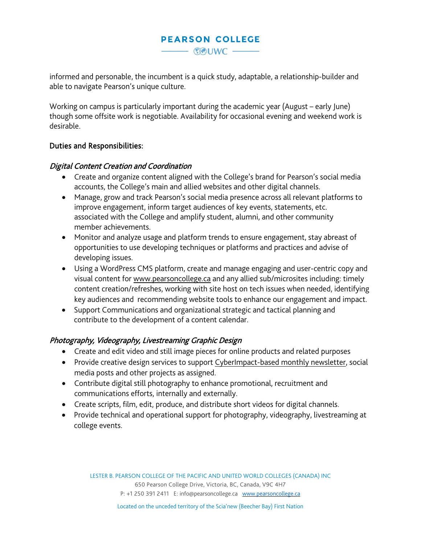# **PEARSON COLLEGE**  $\frac{1}{2}$   $\frac{1}{2}$   $\frac{1}{2}$   $\frac{1}{2}$   $\frac{1}{2}$   $\frac{1}{2}$   $\frac{1}{2}$   $\frac{1}{2}$   $\frac{1}{2}$   $\frac{1}{2}$   $\frac{1}{2}$   $\frac{1}{2}$   $\frac{1}{2}$   $\frac{1}{2}$   $\frac{1}{2}$   $\frac{1}{2}$   $\frac{1}{2}$   $\frac{1}{2}$   $\frac{1}{2}$   $\frac{1}{2}$   $\frac{1}{2}$   $\frac{1}{2}$

informed and personable, the incumbent is a quick study, adaptable, a relationship-builder and able to navigate Pearson's unique culture.

Working on campus is particularly important during the academic year (August – early June) though some offsite work is negotiable. Availability for occasional evening and weekend work is desirable.

## Duties and Responsibilities:

## Digital Content Creation and Coordination

- Create and organize content aligned with the College's brand for Pearson's social media accounts, the College's main and allied websites and other digital channels.
- Manage, grow and track Pearson's social media presence across all relevant platforms to improve engagement, inform target audiences of key events, statements, etc. associated with the College and amplify student, alumni, and other community member achievements.
- Monitor and analyze usage and platform trends to ensure engagement, stay abreast of opportunities to use developing techniques or platforms and practices and advise of developing issues.
- Using a WordPress CMS platform, create and manage engaging and user-centric copy and visual content for [www.pearsoncollege.ca](http://www.pearsoncollege.ca/) and any allied sub/microsites including: timely content creation/refreshes, working with site host on tech issues when needed, identifying key audiences and recommending website tools to enhance our engagement and impact.
- Support Communications and organizational strategic and tactical planning and contribute to the development of a content calendar.

## Photography, Videography, Livestreaming Graphic Design

- Create and edit video and still image pieces for online products and related purposes
- Provide creative design services to support [CyberImpact-based monthly newsletter,](https://app.cyberimpact.com/newsletter-view-online?ct=4r2xs86yYyJRNyVsVj8V9ABFon8mDGWlFCQeZ_1OHhcVt5ymT-D8jY4m55U7wy8ipMRRUBvIhiWNCbGnnTYOPg%7E%7E) social media posts and other projects as assigned.
- Contribute digital still photography to enhance promotional, recruitment and communications efforts, internally and externally.
- Create scripts, film, edit, produce, and distribute short videos for digital channels.
- Provide technical and operational support for photography, videography, livestreaming at college events.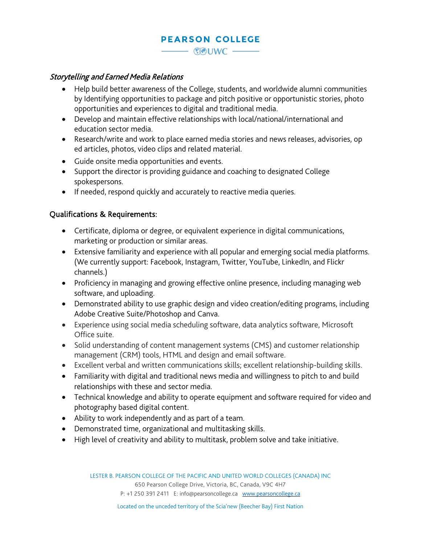# **PEARSON COLLEGE**  $\frac{1}{2}$   $\frac{1}{2}$   $\frac{1}{2}$   $\frac{1}{2}$   $\frac{1}{2}$   $\frac{1}{2}$   $\frac{1}{2}$   $\frac{1}{2}$   $\frac{1}{2}$   $\frac{1}{2}$   $\frac{1}{2}$   $\frac{1}{2}$   $\frac{1}{2}$   $\frac{1}{2}$   $\frac{1}{2}$   $\frac{1}{2}$   $\frac{1}{2}$   $\frac{1}{2}$   $\frac{1}{2}$   $\frac{1}{2}$   $\frac{1}{2}$   $\frac{1}{2}$

## Storytelling and Earned Media Relations

- Help build better awareness of the College, students, and worldwide alumni communities by Identifying opportunities to package and pitch positive or opportunistic stories, photo opportunities and experiences to digital and traditional media.
- Develop and maintain effective relationships with local/national/international and education sector media.
- Research/write and work to place earned media stories and news releases, advisories, op ed articles, photos, video clips and related material.
- Guide onsite media opportunities and events.
- Support the director is providing guidance and coaching to designated College spokespersons.
- If needed, respond quickly and accurately to reactive media queries.

## Qualifications & Requirements:

- Certificate, diploma or degree, or equivalent experience in digital communications, marketing or production or similar areas.
- Extensive familiarity and experience with all popular and emerging social media platforms. (We currently support: Facebook, Instagram, Twitter, YouTube, LinkedIn, and Flickr channels.)
- Proficiency in managing and growing effective online presence, including managing web software, and uploading.
- Demonstrated ability to use graphic design and video creation/editing programs, including Adobe Creative Suite/Photoshop and Canva.
- Experience using social media scheduling software, data analytics software, Microsoft Office suite.
- Solid understanding of content management systems (CMS) and customer relationship management (CRM) tools, HTML and design and email software.
- Excellent verbal and written communications skills; excellent relationship-building skills.
- Familiarity with digital and traditional news media and willingness to pitch to and build relationships with these and sector media.
- Technical knowledge and ability to operate equipment and software required for video and photography based digital content.
- Ability to work independently and as part of a team.
- Demonstrated time, organizational and multitasking skills.
- High level of creativity and ability to multitask, problem solve and take initiative.

650 Pearson College Drive, Victoria, BC, Canada, V9C 4H7

P: +1 <sup>250</sup> <sup>391</sup> 2411 E: [info@pearsoncollege.ca](mailto:info@pearsoncollege.ca) [www.pearsoncollege.ca](http://www.pearsoncollege.ca/)